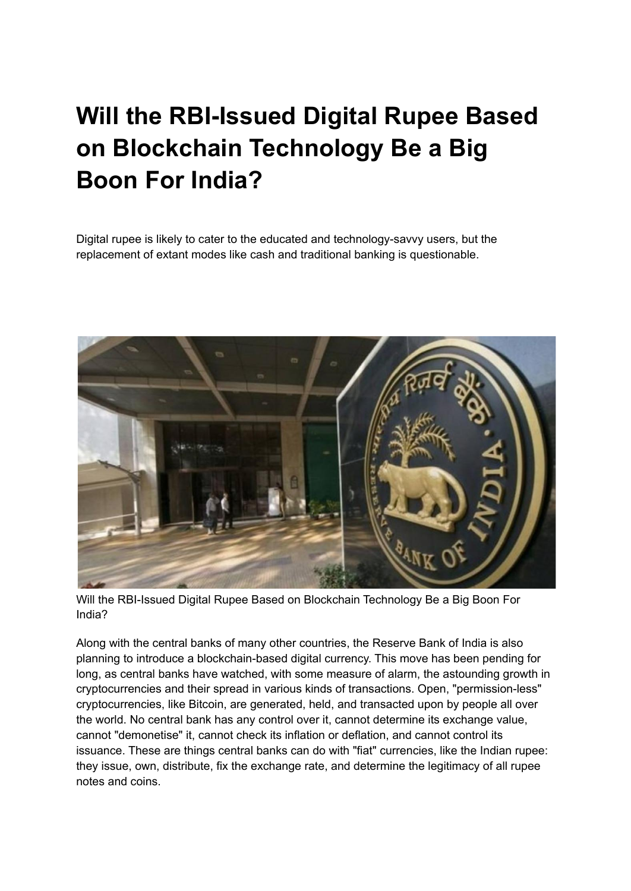## **Will the RBI-Issued Digital Rupee Based on Blockchain Technology Be a Big Boon For India?**

Digital rupee is likely to cater to the educated and technology-savvy users, but the replacement of extant modes like cash and traditional banking is questionable.



Will the RBI-Issued Digital Rupee Based on Blockchain Technology Be a Big Boon For India?

Along with the central banks of many other countries, the Reserve Bank of India is also planning to introduce a blockchain-based digital currency. This move has been pending for long, as central banks have watched, with some measure of alarm, the astounding growth in cryptocurrencies and their spread in various kinds of transactions. Open, "permission-less" cryptocurrencies, like Bitcoin, are generated, held, and transacted upon by people all over the world. No central bank has any control over it, cannot determine its exchange value, cannot "demonetise" it, cannot check its inflation or deflation, and cannot control its issuance. These are things central banks can do with "fiat" currencies, like the Indian rupee: they issue, own, distribute, fix the exchange rate, and determine the legitimacy of all rupee notes and coins.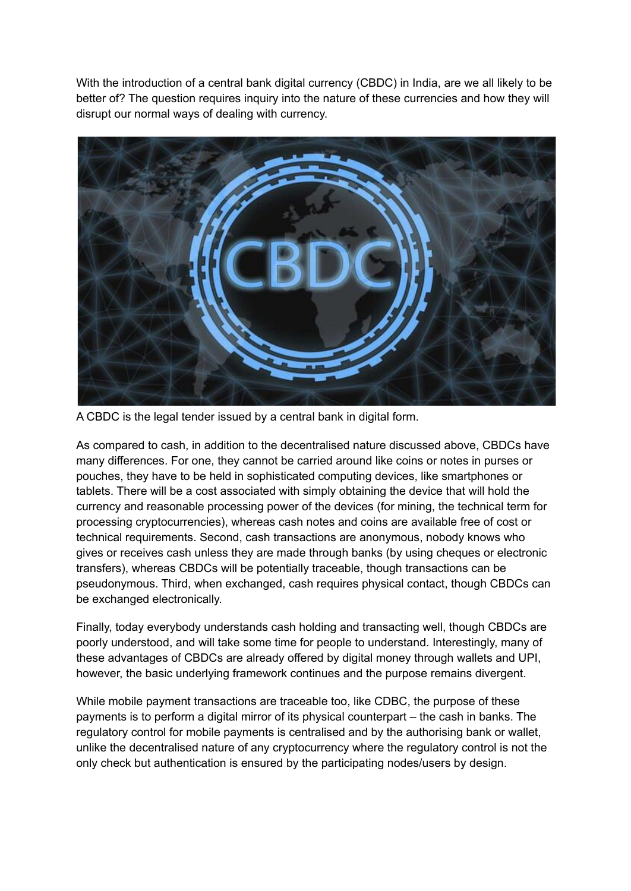With the introduction of a central bank digital currency (CBDC) in India, are we all likely to be better of? The question requires inquiry into the nature of these currencies and how they will disrupt our normal ways of dealing with currency.



A CBDC is the legal tender issued by a central bank in digital form.

As compared to cash, in addition to the decentralised nature discussed above, CBDCs have many differences. For one, they cannot be carried around like coins or notes in purses or pouches, they have to be held in sophisticated computing devices, like smartphones or tablets. There will be a cost associated with simply obtaining the device that will hold the currency and reasonable processing power of the devices (for mining, the technical term for processing cryptocurrencies), whereas cash notes and coins are available free of cost or technical requirements. Second, cash transactions are anonymous, nobody knows who gives or receives cash unless they are made through banks (by using cheques or electronic transfers), whereas CBDCs will be potentially traceable, though transactions can be pseudonymous. Third, when exchanged, cash requires physical contact, though CBDCs can be exchanged electronically.

Finally, today everybody understands cash holding and transacting well, though CBDCs are poorly understood, and will take some time for people to understand. Interestingly, many of these advantages of CBDCs are already offered by digital money through wallets and UPI, however, the basic underlying framework continues and the purpose remains divergent.

While mobile payment transactions are traceable too, like CDBC, the purpose of these payments is to perform a digital mirror of its physical counterpart – the cash in banks. The regulatory control for mobile payments is centralised and by the authorising bank or wallet, unlike the decentralised nature of any cryptocurrency where the regulatory control is not the only check but authentication is ensured by the participating nodes/users by design.